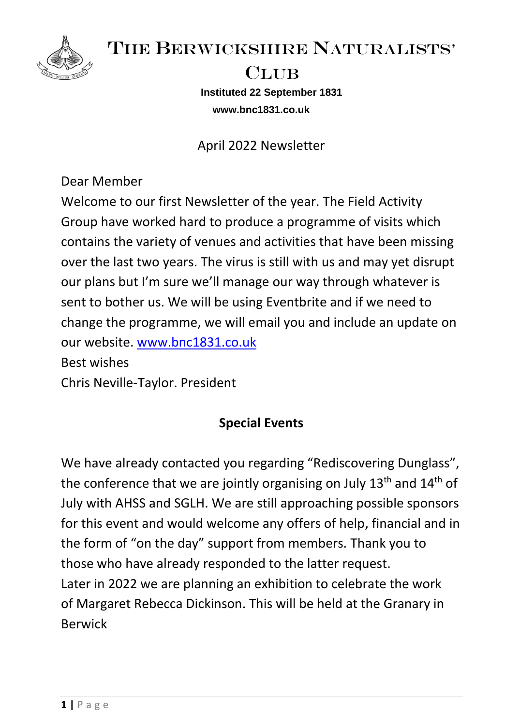

THE BERWICKSHIRE NATURALISTS'

## CLUB

**Instituted 22 September 1831 www.bnc1831.co.uk**

April 2022 Newsletter

Dear Member

Welcome to our first Newsletter of the year. The Field Activity Group have worked hard to produce a programme of visits which contains the variety of venues and activities that have been missing over the last two years. The virus is still with us and may yet disrupt our plans but I'm sure we'll manage our way through whatever is sent to bother us. We will be using Eventbrite and if we need to change the programme, we will email you and include an update on our website. [www.bnc1831.co.uk](http://www.bnc1831.co.uk/) Best wishes

Chris Neville-Taylor. President

# **Special Events**

We have already contacted you regarding "Rediscovering Dunglass", the conference that we are jointly organising on July  $13<sup>th</sup>$  and  $14<sup>th</sup>$  of July with AHSS and SGLH. We are still approaching possible sponsors for this event and would welcome any offers of help, financial and in the form of "on the day" support from members. Thank you to those who have already responded to the latter request. Later in 2022 we are planning an exhibition to celebrate the work of Margaret Rebecca Dickinson. This will be held at the Granary in Berwick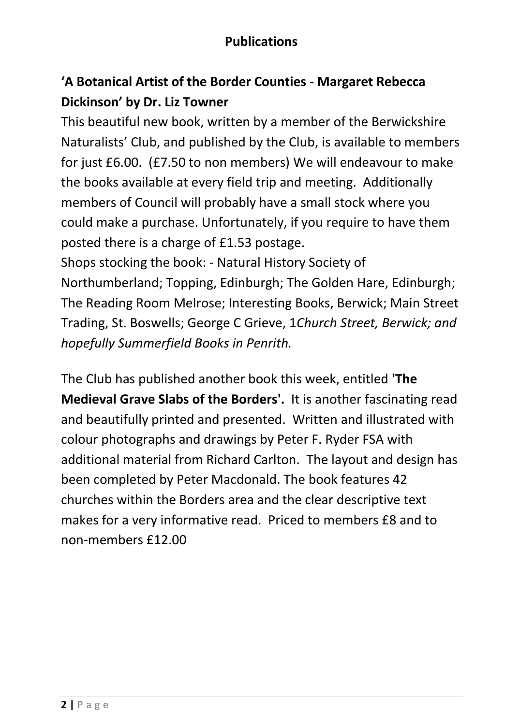### **Publications**

## **'A Botanical Artist of the Border Counties - Margaret Rebecca Dickinson' by Dr. Liz Towner**

This beautiful new book, written by a member of the Berwickshire Naturalists' Club, and published by the Club, is available to members for just £6.00. (£7.50 to non members) We will endeavour to make the books available at every field trip and meeting. Additionally members of Council will probably have a small stock where you could make a purchase. Unfortunately, if you require to have them posted there is a charge of £1.53 postage.

Shops stocking the book: - Natural History Society of Northumberland; Topping, Edinburgh; The Golden Hare, Edinburgh; The Reading Room Melrose; Interesting Books, Berwick; Main Street Trading, St. Boswells; George C Grieve, 1*Church Street, Berwick; and hopefully Summerfield Books in Penrith.*

The Club has published another book this week, entitled **'The Medieval Grave Slabs of the Borders'.** It is another fascinating read and beautifully printed and presented. Written and illustrated with colour photographs and drawings by Peter F. Ryder FSA with additional material from Richard Carlton. The layout and design has been completed by Peter Macdonald. The book features 42 churches within the Borders area and the clear descriptive text makes for a very informative read. Priced to members £8 and to non-members £12.00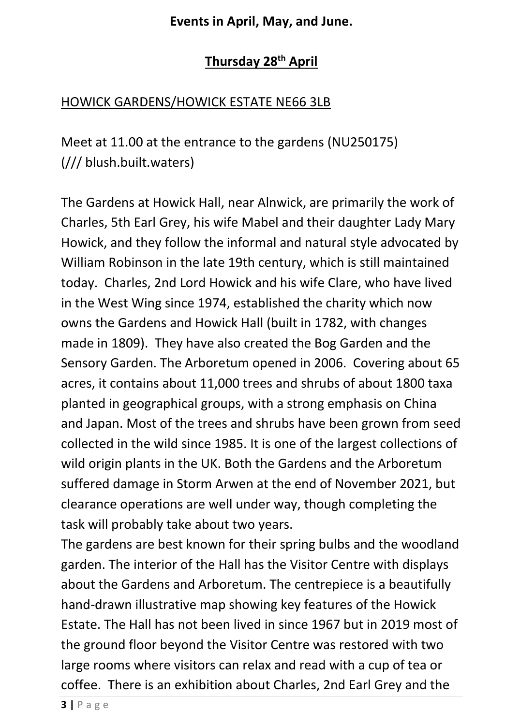#### **Events in April, May, and June.**

### **Thursday 28th April**

#### HOWICK GARDENS/HOWICK ESTATE NE66 3LB

Meet at 11.00 at the entrance to the gardens (NU250175) (/// blush.built.waters)

The Gardens at Howick Hall, near Alnwick, are primarily the work of Charles, 5th Earl Grey, his wife Mabel and their daughter Lady Mary Howick, and they follow the informal and natural style advocated by William Robinson in the late 19th century, which is still maintained today. Charles, 2nd Lord Howick and his wife Clare, who have lived in the West Wing since 1974, established the charity which now owns the Gardens and Howick Hall (built in 1782, with changes made in 1809). They have also created the Bog Garden and the Sensory Garden. The Arboretum opened in 2006. Covering about 65 acres, it contains about 11,000 trees and shrubs of about 1800 taxa planted in geographical groups, with a strong emphasis on China and Japan. Most of the trees and shrubs have been grown from seed collected in the wild since 1985. It is one of the largest collections of wild origin plants in the UK. Both the Gardens and the Arboretum suffered damage in Storm Arwen at the end of November 2021, but clearance operations are well under way, though completing the task will probably take about two years.

The gardens are best known for their spring bulbs and the woodland garden. The interior of the Hall has the Visitor Centre with displays about the Gardens and Arboretum. The centrepiece is a beautifully hand-drawn illustrative map showing key features of the Howick Estate. The Hall has not been lived in since 1967 but in 2019 most of the ground floor beyond the Visitor Centre was restored with two large rooms where visitors can relax and read with a cup of tea or coffee. There is an exhibition about Charles, 2nd Earl Grey and the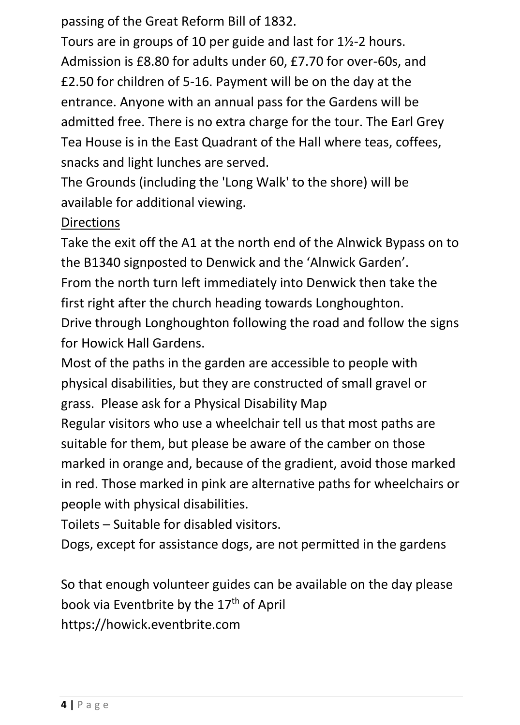passing of the Great Reform Bill of 1832.

Tours are in groups of 10 per guide and last for 1½-2 hours. Admission is £8.80 for adults under 60, £7.70 for over-60s, and £2.50 for children of 5-16. Payment will be on the day at the entrance. Anyone with an annual pass for the Gardens will be admitted free. There is no extra charge for the tour. The Earl Grey Tea House is in the East Quadrant of the Hall where teas, coffees, snacks and light lunches are served.

The Grounds (including the 'Long Walk' to the shore) will be available for additional viewing.

#### **Directions**

Take the exit off the A1 at the north end of the Alnwick Bypass on to the B1340 signposted to Denwick and the 'Alnwick Garden'. From the north turn left immediately into Denwick then take the first right after the church heading towards Longhoughton. Drive through Longhoughton following the road and follow the signs for Howick Hall Gardens.

Most of the paths in the garden are accessible to people with physical disabilities, but they are constructed of small gravel or grass. Please ask for a Physical Disability Map

Regular visitors who use a wheelchair tell us that most paths are suitable for them, but please be aware of the camber on those marked in orange and, because of the gradient, avoid those marked in red. Those marked in pink are alternative paths for wheelchairs or people with physical disabilities.

Toilets – Suitable for disabled visitors.

Dogs, except for assistance dogs, are not permitted in the gardens

So that enough volunteer guides can be available on the day please book via Eventbrite by the 17<sup>th</sup> of April https://howick.eventbrite.com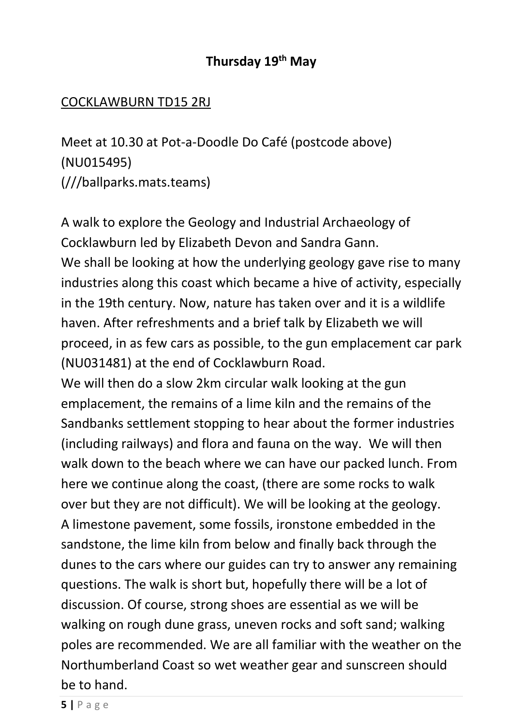### **Thursday 19th May**

#### COCKLAWBURN TD15 2RJ

Meet at 10.30 at Pot-a-Doodle Do Café (postcode above) (NU015495) (///ballparks.mats.teams)

A walk to explore the Geology and Industrial Archaeology of Cocklawburn led by Elizabeth Devon and Sandra Gann. We shall be looking at how the underlying geology gave rise to many industries along this coast which became a hive of activity, especially in the 19th century. Now, nature has taken over and it is a wildlife haven. After refreshments and a brief talk by Elizabeth we will proceed, in as few cars as possible, to the gun emplacement car park (NU031481) at the end of Cocklawburn Road.

We will then do a slow 2km circular walk looking at the gun emplacement, the remains of a lime kiln and the remains of the Sandbanks settlement stopping to hear about the former industries (including railways) and flora and fauna on the way. We will then walk down to the beach where we can have our packed lunch. From here we continue along the coast, (there are some rocks to walk over but they are not difficult). We will be looking at the geology. A limestone pavement, some fossils, ironstone embedded in the sandstone, the lime kiln from below and finally back through the dunes to the cars where our guides can try to answer any remaining questions. The walk is short but, hopefully there will be a lot of discussion. Of course, strong shoes are essential as we will be walking on rough dune grass, uneven rocks and soft sand; walking poles are recommended. We are all familiar with the weather on the Northumberland Coast so wet weather gear and sunscreen should be to hand.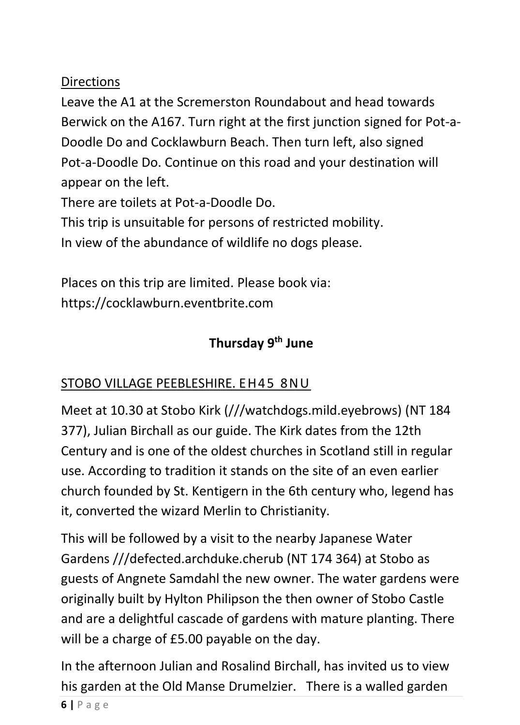### **Directions**

Leave the A1 at the Scremerston Roundabout and head towards Berwick on the A167. Turn right at the first junction signed for Pot-a-Doodle Do and Cocklawburn Beach. Then turn left, also signed Pot-a-Doodle Do. Continue on this road and your destination will appear on the left.

There are toilets at Pot-a-Doodle Do.

This trip is unsuitable for persons of restricted mobility.

In view of the abundance of wildlife no dogs please.

Places on this trip are limited. Please book via: https://cocklawburn.eventbrite.com

## **Thursday 9th June**

## STOBO VILLAGE PEEBLESHIRE. EH45 8N U

Meet at 10.30 at Stobo Kirk (///watchdogs.mild.eyebrows) (NT 184 377), Julian Birchall as our guide. The Kirk dates from the 12th Century and is one of the oldest churches in Scotland still in regular use. According to tradition it stands on the site of an even earlier church founded by St. Kentigern in the 6th century who, legend has it, converted the wizard Merlin to Christianity.

This will be followed by a visit to the nearby Japanese Water Gardens ///defected.archduke.cherub (NT 174 364) at Stobo as guests of Angnete Samdahl the new owner. The water gardens were originally built by Hylton Philipson the then owner of Stobo Castle and are a delightful cascade of gardens with mature planting. There will be a charge of £5.00 payable on the day.

In the afternoon Julian and Rosalind Birchall, has invited us to view his garden at the Old Manse Drumelzier. There is a walled garden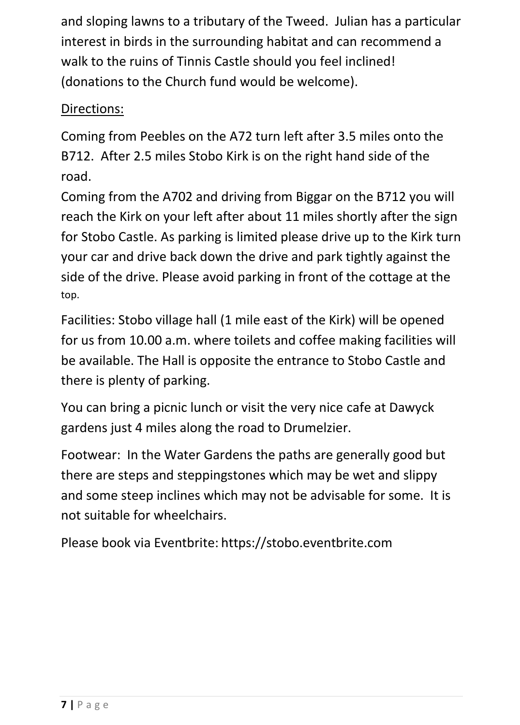and sloping lawns to a tributary of the Tweed. Julian has a particular interest in birds in the surrounding habitat and can recommend a walk to the ruins of Tinnis Castle should you feel inclined! (donations to the Church fund would be welcome).

### Directions:

Coming from Peebles on the A72 turn left after 3.5 miles onto the B712. After 2.5 miles Stobo Kirk is on the right hand side of the road.

Coming from the A702 and driving from Biggar on the B712 you will reach the Kirk on your left after about 11 miles shortly after the sign for Stobo Castle. As parking is limited please drive up to the Kirk turn your car and drive back down the drive and park tightly against the side of the drive. Please avoid parking in front of the cottage at the top.

Facilities: Stobo village hall (1 mile east of the Kirk) will be opened for us from 10.00 a.m. where toilets and coffee making facilities will be available. The Hall is opposite the entrance to Stobo Castle and there is plenty of parking.

You can bring a picnic lunch or visit the very nice cafe at Dawyck gardens just 4 miles along the road to Drumelzier.

Footwear: In the Water Gardens the paths are generally good but there are steps and steppingstones which may be wet and slippy and some steep inclines which may not be advisable for some. It is not suitable for wheelchairs.

Please book via Eventbrite: https://stobo.eventbrite.com